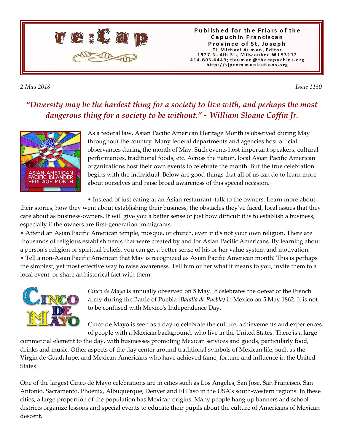

Published for the Friars of the Capuchin Franciscan Province of St. Joseph TL Michael Auman, Editor 1927 N. 4th St., Milwaukee W153212 414.803.4449; tlaum an @ thecapuchins.org http://sjpcommunications.org

*2 May 2018 Issue 1130* 

### *"Diversity may be the hardest thing for a society to live with, and perhaps the most dangerous thing for a society to be without." ~ William Sloane Coffin Jr.*



As a federal law, Asian Pacific American Heritage Month is observed during May throughout the country. Many federal departments and agencies host official observances during the month of May. Such events host important speakers, cultural performances, traditional foods, etc. Across the nation, local Asian Pacific American organizations host their own events to celebrate the month. But the true celebration begins with the individual. Below are good things that all of us can do to learn more about ourselves and raise broad awareness of this special occasion.

• Instead of just eating at an Asian restaurant, talk to the owners. Learn more about

their stories, how they went about establishing their business, the obstacles they've faced, local issues that they care about as business-owners. It will give you a better sense of just how difficult it is to establish a business, especially if the owners are first-generation immigrants.

• Attend an Asian Pacific American temple, mosque, or church, even if it's not your own religion. There are thousands of religious establishments that were created by and for Asian Pacific Americans. By learning about a person's religion or spiritual beliefs, you can get a better sense of his or her value system and motivation. • Tell a non-Asian Pacific American that May is recognized as Asian Pacific American month! This is perhaps the simplest, yet most effective way to raise awareness. Tell him or her what it means to you, invite them to a

local event, or share an historical fact with them.



*Cinco de Mayo* is annually observed on 5 May. It celebrates the defeat of the French army during the Battle of Puebla *(Batalla de Puebla)* in Mexico on 5 May 1862. It is not to be confused with Mexico's Independence Day.

Cinco de Mayo is seen as a day to celebrate the culture, achievements and experiences of people with a Mexican background, who live in the United States. There is a large

commercial element to the day, with businesses promoting Mexican services and goods, particularly food, drinks and music. Other aspects of the day center around traditional symbols of Mexican life, such as the Virgin de Guadalupe, and Mexican-Americans who have achieved fame, fortune and influence in the United States.

One of the largest Cinco de Mayo celebrations are in cities such as Los Angeles, San Jose, San Francisco, San Antonio, Sacramento, Phoenix, Albuquerque, Denver and El Paso in the USA's south-western regions. In these cities, a large proportion of the population has Mexican origins. Many people hang up banners and school districts organize lessons and special events to educate their pupils about the culture of Americans of Mexican descent.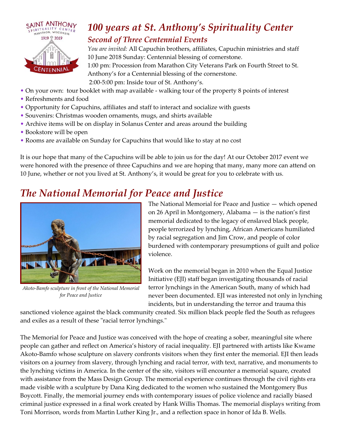

### *100 years at St. Anthony's Spirituality Center Second of Three Centennial Events*

*You are invited:* All Capuchin brothers, affiliates, Capuchin ministries and staff 10 June 2018 Sunday: Centennial blessing of cornerstone. 1:00 pm: Procession from Marathon City Veterans Park on Fourth Street to St. Anthony's for a Centennial blessing of the cornerstone. 2:00-5:00 pm: Inside tour of St. Anthony's.

- On your own: tour booklet with map available walking tour of the property 8 points of interest
- Refreshments and food
- Opportunity for Capuchins, affiliates and staff to interact and socialize with guests
- Souvenirs: Christmas wooden ornaments, mugs, and shirts available
- Archive items will be on display in Solanus Center and areas around the building
- Bookstore will be open
- Rooms are available on Sunday for Capuchins that would like to stay at no cost

It is our hope that many of the Capuchins will be able to join us for the day! At our October 2017 event we were honored with the presence of three Capuchins and we are hoping that many, many more can attend on 10 June, whether or not you lived at St. Anthony's, it would be great for you to celebrate with us.

## *The National Memorial for Peace and Justice*



*Akoto-Bamfo sculpture in front of the National Memorial for Peace and Justice*

The National Memorial for Peace and Justice — which opened on 26 April in Montgomery, Alabama — is the nation's first memorial dedicated to the legacy of enslaved black people, people terrorized by lynching, African Americans humiliated by racial segregation and Jim Crow, and people of color burdened with contemporary presumptions of guilt and police violence.

Work on the memorial began in 2010 when the Equal Justice Initiative (EJI) staff began investigating thousands of racial terror lynchings in the American South, many of which had never been documented. EJI was interested not only in lynching incidents, but in understanding the terror and trauma this

sanctioned violence against the black community created. Six million black people fled the South as refugees and exiles as a result of these "racial terror lynchings."

The Memorial for Peace and Justice was conceived with the hope of creating a sober, meaningful site where people can gather and reflect on America's history of racial inequality. EJI partnered with artists like Kwame Akoto-Bamfo whose sculpture on slavery confronts visitors when they first enter the memorial. EJI then leads visitors on a journey from slavery, through lynching and racial terror, with text, narrative, and monuments to the lynching victims in America. In the center of the site, visitors will encounter a memorial square, created with assistance from the Mass Design Group. The memorial experience continues through the civil rights era made visible with a sculpture by Dana King dedicated to the women who sustained the Montgomery Bus Boycott. Finally, the memorial journey ends with contemporary issues of police violence and racially biased criminal justice expressed in a final work created by Hank Willis Thomas. The memorial displays writing from Toni Morrison, words from Martin Luther King Jr., and a reflection space in honor of Ida B. Wells.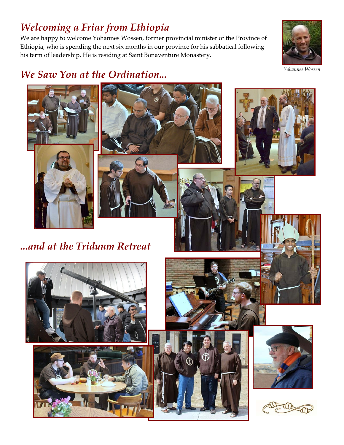# *Welcoming a Friar from Ethiopia*

We are happy to welcome Yohannes Wossen, former provincial minister of the Province of Ethiopia, who is spending the next six months in our province for his sabbatical following his term of leadership. He is residing at Saint Bonaventure Monastery.



#### *Yohannes Wossen*

### *We Saw You at the Ordination...*